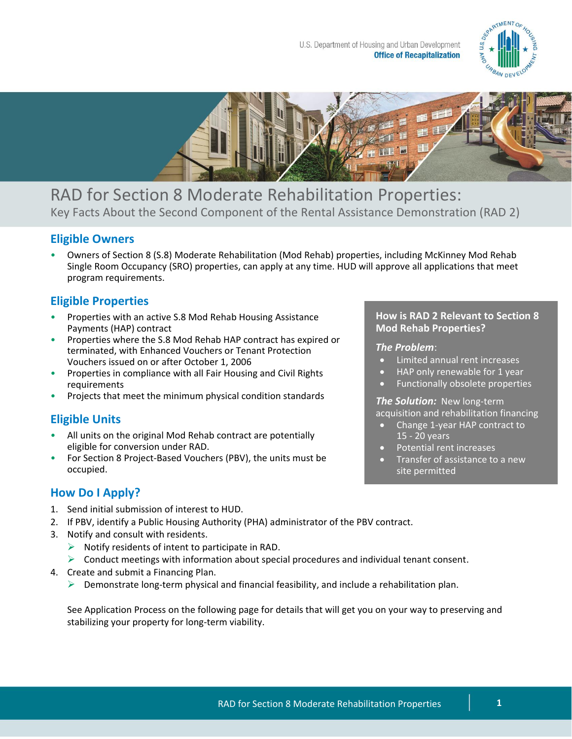



RAD for Section 8 Moderate Rehabilitation Properties: Key Facts About the Second Component of the Rental Assistance Demonstration (RAD 2)

### **Eligible Owners**

• Owners of Section 8 (S.8) Moderate Rehabilitation (Mod Rehab) properties, including McKinney Mod Rehab Single Room Occupancy (SRO) properties, can apply at any time. HUD will approve all applications that meet program requirements.

## **Eligible Properties**

- Properties with an active S.8 Mod Rehab Housing Assistance Payments (HAP) contract
- Properties where the S.8 Mod Rehab HAP contract has expired or terminated, with Enhanced Vouchers or Tenant Protection Vouchers issued on or after October 1, 2006
- Properties in compliance with all Fair Housing and Civil Rights requirements
- Projects that meet the minimum physical condition standards

# **Eligible Units**

- All units on the original Mod Rehab contract are potentially eligible for conversion under RAD.
- For Section 8 Project-Based Vouchers (PBV), the units must be occupied.

## **How Do I Apply?**

- 1. Send initial submission of interest to HUD.
- 2. If PBV, identify a Public Housing Authority (PHA) administrator of the PBV contract.
- 3. Notify and consult with residents.
	- $\triangleright$  Notify residents of intent to participate in RAD.
	- $\triangleright$  Conduct meetings with information about special procedures and individual tenant consent.
- 4. Create and submit a Financing Plan.
	- $\triangleright$  Demonstrate long-term physical and financial feasibility, and include a rehabilitation plan.

See Application Process on the following page for details that will get you on your way to preserving and stabilizing your property for long-term viability.

#### **How is RAD 2 Relevant to Section 8 Mod Rehab Properties?**

#### *The Problem*:

- Limited annual rent increases
- HAP only renewable for 1 year
- Functionally obsolete properties

*The Solution:* New long-term acquisition and rehabilitation financing

- Change 1-year HAP contract to 15 - 20 years
- Potential rent increases
- Transfer of assistance to a new site permitted